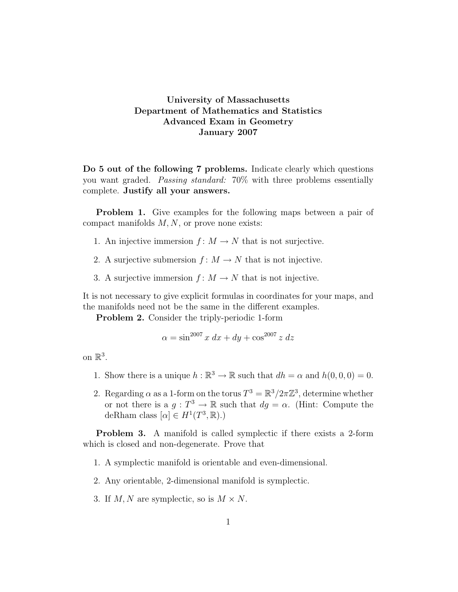## University of Massachusetts Department of Mathematics and Statistics Advanced Exam in Geometry January 2007

Do 5 out of the following 7 problems. Indicate clearly which questions you want graded. Passing standard: 70% with three problems essentially complete. Justify all your answers.

Problem 1. Give examples for the following maps between a pair of compact manifolds  $M, N$ , or prove none exists:

- 1. An injective immersion  $f: M \to N$  that is not surjective.
- 2. A surjective submersion  $f: M \to N$  that is not injective.
- 3. A surjective immersion  $f: M \to N$  that is not injective.

It is not necessary to give explicit formulas in coordinates for your maps, and the manifolds need not be the same in the different examples.

Problem 2. Consider the triply-periodic 1-form

$$
\alpha = \sin^{2007} x \, dx + dy + \cos^{2007} z \, dz
$$

on  $\mathbb{R}^3$ .

- 1. Show there is a unique  $h : \mathbb{R}^3 \to \mathbb{R}$  such that  $dh = \alpha$  and  $h(0, 0, 0) = 0$ .
- 2. Regarding  $\alpha$  as a 1-form on the torus  $T^3 = \mathbb{R}^3 / 2\pi \mathbb{Z}^3$ , determine whether or not there is a  $g: T^3 \to \mathbb{R}$  such that  $dg = \alpha$ . (Hint: Compute the deRham class  $[\alpha] \in H^1(T^3, \mathbb{R})$ .

Problem 3. A manifold is called symplectic if there exists a 2-form which is closed and non-degenerate. Prove that

- 1. A symplectic manifold is orientable and even-dimensional.
- 2. Any orientable, 2-dimensional manifold is symplectic.
- 3. If  $M, N$  are symplectic, so is  $M \times N$ .